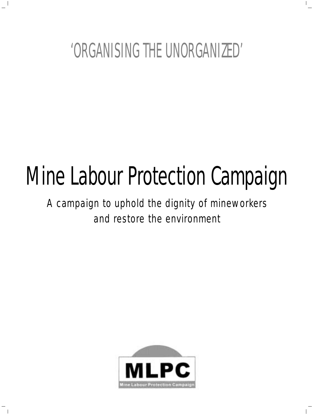# 'ORGANISING THE UNORGANIZED'

 $\overline{\phantom{a}}$ 

 $\mathcal{A}$ 

 $\blacksquare$ 

# Mine Labour Protection Campaign

*A campaign to uphold the dignity of mineworkers and restore the environment*

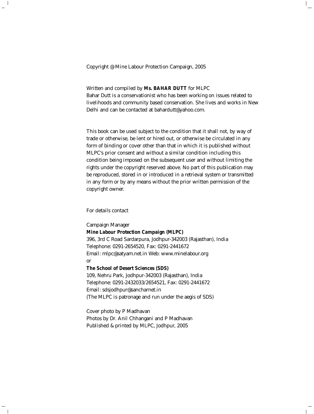Copyright @ Mine Labour Protection Campaign, 2005

Written and compiled by **Ms. BAHAR DUTT** for MLPC

Bahar Dutt is a conservationist who has been working on issues related to livelihoods and community based conservation. She lives and works in New Delhi and can be contacted at bahardutt@yahoo.com.

 $\mathbb{L}$ 

This book can be used subject to the condition that it shall not, by way of trade or otherwise, be lent or hired out, or otherwise be circulated in any form of binding or cover other than that in which it is published without MLPC's prior consent and without a similar condition including this condition being imposed on the subsequent user and without limiting the rights under the copyright reserved above. No part of this publication may be reproduced, stored in or introduced in a retrieval system or transmitted in any form or by any means without the prior written permission of the copyright owner.

#### *For details contact*

 $\overline{\phantom{a}}$ 

 $\overline{\phantom{a}}$ 

Campaign Manager **Mine Labour Protection Campaign (MLPC)** 396, 3rd C Road Sardarpura, Jodhpur-342003 (Rajasthan), India Telephone: 0291-2654520, Fax: 0291-2441672 Email: mlpc@satyam.net.in Web: www.minelabour.org or

**The School of Desert Sciences (SDS)**

109, Nehru Park, Jodhpur-342003 (Rajasthan), India Telephone: 0291-2432033/2654521, Fax: 0291-2441672 Email: sdsjodhpur@sancharnet.in (The MLPC is patronage and run under the aegis of SDS)

Cover photo by P Madhavan Photos by Dr. Anil Chhangani and P Madhavan Published & printed by MLPC, Jodhpur, 2005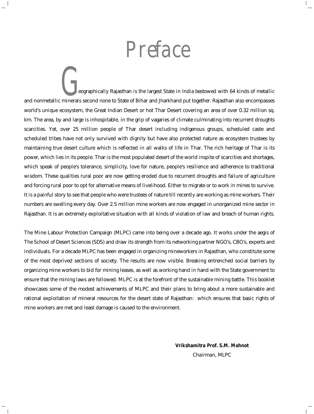*Preface*

 $\mathbb{L}$ 

eographically Rajasthan is the largest State in India bestowed with 64 kinds of metallic eographically Rajasthan is the largest State in India bestowed with 64 kinds of metallic<br>and nonmetallic minerals second none to State of Bihar and Jharkhand put together. Rajasthan also encompasses world's unique ecosystem, the Great Indian Desert or hot Thar Desert covering an area of over 0.32 million sq. km. The area, by and large is inhospitable, in the grip of vagaries of climate culminating into recurrent droughts scarcities. Yet, over 25 million people of Thar desert including indigenous groups, scheduled caste and scheduled tribes have not only survived with dignity but have also protected nature as ecosystem trustees by maintaining true desert culture which is reflected in all walks of life in Thar. The rich heritage of Thar is its power, which lies in its people. Thar is the most populated desert of the world inspite of scarcities and shortages, which speak of people's tolerance, simplicity, love for nature, people's resilience and adherence to traditional wisdom. These qualities rural poor are now getting eroded due to recurrent droughts and failure of agriculture and forcing rural poor to opt for alternative means of livelihood. Either to migrate or to work in mines to survive. It is a painful story to see that people who were trustees of nature till recently are working as mine workers. Their numbers are swelling every day. Over 2.5 million mine workers are now engaged in unorganized mine sector in Rajasthan. It is an extremely exploitative situation with all kinds of violation of law and breach of human rights.

The Mine Labour Protection Campaign (MLPC) came into being over a decade ago. It works under the aegis of The School of Desert Sciences (SDS) and draw its strength from its networking partner NGO's, CBO's, experts and individuals. For a decade MLPC has been engaged in organizing mineworkers in Rajasthan, who constitute some of the most deprived sections of society. The results are now visible. Breaking entrenched social barriers by organizing mine workers to bid for mining leases, as well as working hand in hand with the State government to ensure that the mining laws are followed. MLPC is at the forefront of the sustainable mining battle. This booklet showcases some of the modest achievements of MLPC and their plans to bring about a more sustainable and rational exploitation of mineral resources for the desert state of Rajasthan: which ensures that basic rights of mine workers are met and least damage is caused to the environment.

> **Vrikshamitra Prof. S.M. Mohnot** *Chairman, MLPC*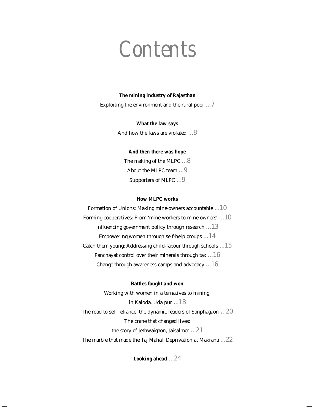## *Contents*

#### **The mining industry of Rajasthan**

Exploiting the environment and the rural poor ...7

#### **What the law says**

And how the laws are violated ...8

#### **And then there was hope**

The making of the MLPC ...8 About the MLPC team ...9 Supporters of MLPC ...9

#### **How MLPC works**

Formation of Unions: Making mine-owners accountable ...10 Forming cooperatives: From 'mine workers to mine-owners' ...10 Influencing government policy through research ...13 Empowering women through self-help groups  $\dots$  14 Catch them young: Addressing child-labour through schools ...15 Panchayat control over their minerals through tax ...16 Change through awareness camps and advocacy ...16

#### **Battles fought and won**

Working with women in alternatives to mining, in Kaloda, Udaipur ...18 The road to self reliance: the dynamic leaders of Sanphagaon ...20 The crane that changed lives: the story of Jethwaigaon, Jaisalmer ...21 The marble that made the Taj Mahal: Deprivation at Makrana ...22

**Looking ahead** ...24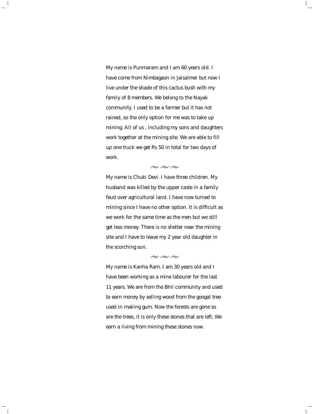*My name is Punmaram and I am 60 years old. I have come from Nimbagaon in Jaisalmer but now I live under the shade of this cactus bush with my family of 8 members. We belong to the Nayak community. I used to be a farmer but it has not rained, so the only option for me was to take up mining. All of us , including my sons and daughters work together at the mining site. We are able to fill up one truck we get Rs 50 in total for two days of work.*

 $\mathbb{L}$ 

 $\mathcal{A}$ 

 $\overline{\phantom{a}}$ 

 $\sim\ \sim \ \sim$ 

*My name is Chuki Devi. I have three children. My husband was killed by the upper caste in a family feud over agricultural land. I have now turned to mining since I have no other option. It is difficult as we work for the same time as the men but we still get less money. There is no shelter near the mining site and I have to leave my 2 year old daughter in the scorching sun.*

 $\sim\ \sim \ \sim$ 

*My name is Kanha Ram. I am 30 years old and I have been working as a mine labourer for the last 11 years. We are from the Bhil community and used to earn money by selling wood from the googal tree used in making gum. Now the forests are gone so are the trees, it is only these stones that are left. We earn a living from mining these stones now.*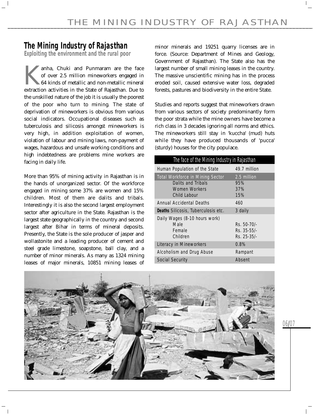### **The Mining Industry of Rajasthan**

**Exploiting the environment and the rural poor**

Tanha, Chuki and Punmaram are the face<br>of over 2.5 million mineworkers engaged in<br>64 kinds of metallic and non-metallic mineral<br>extraction activities in the State of Rajasthan Due to of over 2.5 million mineworkers engaged in 64 kinds of metallic and non-metallic mineral extraction activities in the State of Rajasthan. Due to the unskilled nature of the job it is usually the poorest of the poor who turn to mining. The state of deprivation of mineworkers is obvious from various social indicators. Occupational diseases such as tuberculosis and silicosis amongst mineworkers is very high, in addition exploitation of women, violation of labour and mining laws, non-payment of wages, hazardous and unsafe working conditions and high indebtedness are problems mine workers are facing in daily life.

More than 95% of mining activity in Rajasthan is in the hands of unorganized sector. Of the workforce engaged in mining some 37% are women and 15% children. Most of them are dalits and tribals. Interestingly it is also the second largest employment sector after agriculture in the State. Rajasthan is the largest state geographically in the country and second largest after Bihar in terms of mineral deposits. Presently, the State is the sole producer of jasper and wollastonite and a leading producer of cement and steel grade limestone, soapstone, ball clay, and a number of minor minerals. As many as 1324 mining leases of major minerals, 10851 mining leases of minor minerals and 19251 quarry licenses are in force. (Source: Department of Mines and Geology, Government of Rajasthan). The State also has the largest number of small mining leases in the country. The massive unscientific mining has in the process eroded soil, caused extensive water loss, degraded forests, pastures and biodiversity in the entire State.

Studies and reports suggest that mineworkers drawn from various sectors of society predominantly form the poor strata while the mine owners have become a rich class in 3 decades ignoring all norms and ethics. The mineworkers still stay in 'kuccha' (mud) huts while they have produced thousands of 'pucca' (sturdy) houses for the city populace.

| The face of the Mining Industry in Rajasthan |  |  |  |  |  |  |  |
|----------------------------------------------|--|--|--|--|--|--|--|
| 49.7 million                                 |  |  |  |  |  |  |  |
| 2.5 million                                  |  |  |  |  |  |  |  |
| 95%                                          |  |  |  |  |  |  |  |
| 37%                                          |  |  |  |  |  |  |  |
| 15%                                          |  |  |  |  |  |  |  |
| 460                                          |  |  |  |  |  |  |  |
| 3 daily                                      |  |  |  |  |  |  |  |
|                                              |  |  |  |  |  |  |  |
| Rs. 50-70/-                                  |  |  |  |  |  |  |  |
| $Rs. 35 - 55/$                               |  |  |  |  |  |  |  |
| Rs. 25-35/-                                  |  |  |  |  |  |  |  |
| 0.8%                                         |  |  |  |  |  |  |  |
| Rampant                                      |  |  |  |  |  |  |  |
| Absent                                       |  |  |  |  |  |  |  |
|                                              |  |  |  |  |  |  |  |

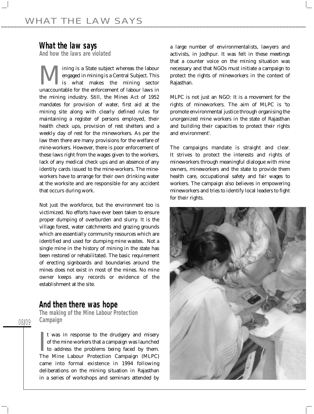### **What the law says**

**And how the laws are violated**

**M** ining is a State subject whereas the labour<br>engaged in mining is a Central Subject. This<br>unaccountable for the enforcement of labour laws in engaged in mining is a Central Subject. This is what makes the mining sector unaccountable for the enforcement of labour laws in the mining industry. Still, the Mines Act of 1952 mandates for provision of water, first aid at the mining site along with clearly defined rules for maintaining a register of persons employed, their health check ups, provision of rest shelters and a weekly day of rest for the mineworkers. As per the law then there are many provisions for the welfare of mine-workers. However, there is poor enforcement of these laws right from the wages given to the workers, lack of any medical check ups and an absence of any identity cards issued to the mine-workers. The mineworkers have to arrange for their own drinking water at the worksite and are responsible for any accident that occurs during work.

Not just the workforce, but the environment too is victimized. No efforts have ever been taken to ensure proper dumping of overburden and slurry. It is the village forest, water catchments and grazing grounds which are essentially community resources which are identified and used for dumping mine wastes. Not a single mine in the history of mining in the state has been restored or rehabilitated. The basic requirement of erecting signboards and boundaries around the mines does not exist in most of the mines. No mine owner keeps any records or evidence of the establishment at the site.

### **And then there was hope**

08/09

**The making of the Mine Labour Protection Campaign**

 $\prod_{\rm Th}$ It was in response to the drudgery and misery of the mine workers that a campaign was launched to address the problems being faced by them. The Mine Labour Protection Campaign (MLPC) came into formal existence in 1994 following deliberations on the mining situation in Rajasthan in a series of workshops and seminars attended by

a large number of environmentalists, lawyers and activists, in Jodhpur. It was felt in these meetings that a counter voice on the mining situation was necessary and that NGOs must initiate a campaign to protect the rights of mineworkers in the context of Rajasthan.

MLPC is not just an NGO: It is a movement for the rights of mineworkers. The aim of MLPC is 'to promote environmental justice through organising the unorganized mine workers in the state of Rajasthan and building their capacities to protect their rights and environment'.

The campaigns mandate is straight and clear. It strives to protect the interests and rights of mineworkers through meaningful dialogue with mine owners, mineworkers and the state to provide them health care, occupational safety and fair wages to workers. The campaign also believes in empowering mineworkers and tries to identify local leaders to fight for their rights.

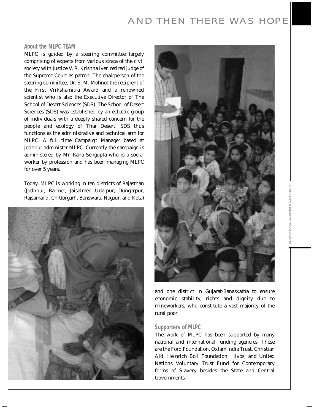#### **About the MLPC TEAM**

MLPC is guided by a steering committee largely comprising of experts from various strata of the civil society with Justice V. R. Krishna Iyer, retired judge of the Supreme Court as patron. The chairperson of the steering committee, Dr. S. M. Mohnot the recipient of the First Vrikshamitra Award and a renowned scientist who is also the Executive Director of The School of Desert Sciences (SDS). The School of Desert Sciences (SDS) was established by an eclectic group of individuals with a deeply shared concern for the people and ecology of Thar Desert. SDS thus functions as the administrative and technical arm for MLPC. A full time Campaign Manager based at Jodhpur administer MLPC. Currently the campaign is administered by Mr. Rana Sengupta who is a social worker by profession and has been managing MLPC for over 5 years.

Today, MLPC is working in ten districts of Rajasthan (Jodhpur, Barmer, Jaisalmer, Udaipur, Dungerpur, Rajsamand, Chittorgarh, Banswara, Nagaur, and Kota)





and one district in Gujarat-Banaskatha to ensure economic stability, rights and dignity due to mineworkers, who constitute a vast majority of the rural poor.

#### **Supporters of MLPC**

The work of MLPC has been supported by many national and international funding agencies. These are the Ford Foundation, Oxfam India Trust, Christian Aid, Heinrich Boll Foundation, Hivos, and United Nations Voluntary Trust Fund for Contemporary forms of Slavery besides the State and Central Governments.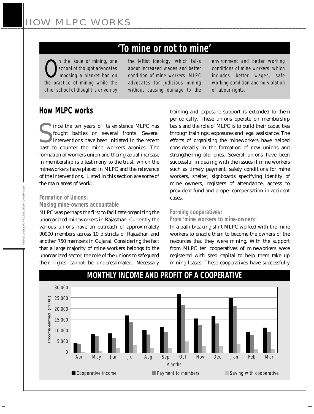### **'To mine or not to mine'**

*O*<br> *school of thought advocates*<br> *imposing a blanket ban on*<br> *the practice of mining while the the issue of mining, one school of thought advocates imposing a blanket ban on other school of thought is driven by*

*the leftist ideology, which talks about increased wages and better condition of mine workers. MLPC advocates for judicious mining without causing damage to the*

*environment and better working conditions of mine workers, which includes better wages, safe working condition and no violation of labour rights.*

 $\vert$ 

### **How MLPC works**

Since the ten years of its existence MLPC has<br>fought battles on several fronts. Several<br>interventions have been initiated in the recent<br>nast to counter the mine workers agonies. The fought battles on several fronts. Several interventions have been initiated in the recent past to counter the mine workers agonies. The formation of workers union and their gradual increase in membership is a testimony to the trust, which the mineworkers have placed in MLPC and the relevance of the interventions. Listed in this section are some of the main areas of work:

**Formation of Unions:**

### **Making mine-owners accountable**

MLPC was perhaps the first to facilitate organizing the unorganized mineworkers in Rajasthan. Currently the various unions have an outreach of approximately 90000 members across 10 districts of Rajasthan and another 750 members in Gujarat. Considering the fact that a large majority of mine workers belongs to the unorganized sector, the role of the unions to safeguard their rights cannot be underestimated. Necessary

training and exposure support is extended to them periodically. These unions operate on membership basis and the role of MLPC is to build their capacities through trainings, exposures and legal assistance. The efforts of organising the mineworkers have helped considerably in the formation of new unions and strengthening old ones. Several unions have been successful in dealing with the issues if mine workers such as timely payment, safety conditions for mine workers, shelter, signboards specifying identity of mine owners, registers of attendance, access to provident fund and proper compensation in accident cases.

#### **Forming cooperatives:**

#### **From 'mine workers to mine-owners'**

In a path breaking shift MLPC worked with the mine workers to enable them to become the owners of the resources that they were mining. With the support from MLPC ten cooperatives of mineworkers were registered with seed capital to help them take up mining leases. These cooperatives have successfully



### **MONTHLY INCOME AND PROFIT OF A COOPERATIVE**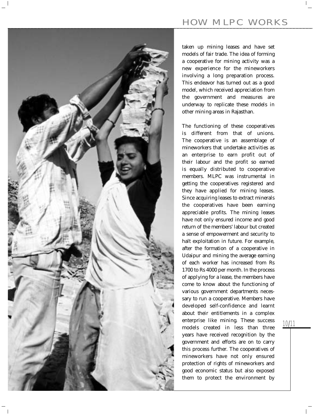

taken up mining leases and have set models of fair trade. The idea of forming a cooperative for mining activity was a new experience for the mineworkers involving a long preparation process. This endeavor has turned out as a good model, which received appreciation from the government and measures are underway to replicate these models in other mining areas in Rajasthan.

The functioning of these cooperatives is different from that of unions. The cooperative is an assemblage of mineworkers that undertake activities as an enterprise to earn profit out of their labour and the profit so earned is equally distributed to cooperative members. MLPC was instrumental in getting the cooperatives registered and they have applied for mining leases. Since acquiring leases to extract minerals the cooperatives have been earning appreciable profits. The mining leases have not only ensured income and good return of the members' labour but created a sense of empowerment and security to halt exploitation in future. For example, after the formation of a cooperative in Udaipur and mining the average earning of each worker has increased from Rs 1700 to Rs 4000 per month. In the process of applying for a lease, the members have come to know about the functioning of various government departments necessary to run a cooperative. Members have developed self-confidence and learnt about their entitlements in a complex enterprise like mining. These success models created in less than three years have received recognition by the government and efforts are on to carry this process further. The cooperatives of mineworkers have not only ensured protection of rights of mineworkers and good economic status but also exposed them to protect the environment by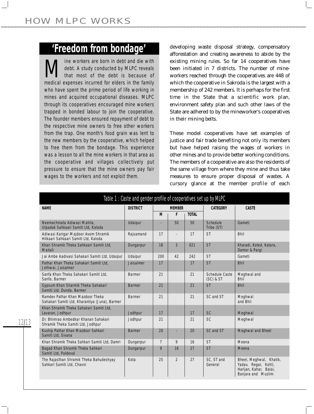### **'Freedom from bondage'**

*Mine workers are born in debt and die with*<br>*that most of the debt is because of*<br>medical expenses incurred for elders in the family *debt. A study conducted by MLPC reveals that most of the debt is because of medical expenses incurred for elders in the family who have spent the prime period of life working in mines and acquired occupational diseases. MLPC through its cooperatives encouraged mine workers trapped in bonded labour to join the cooperative. The founder members ensured repayment of debt to the respective mine owners to free other workers from the trap. One month's food grain was lent to the new members by the cooperative, which helped to free them from the bondage. This experience was a lesson to all the mine workers in that area as the cooperative and villages collectively put pressure to ensure that the mine owners pay fair wages to the workers and not exploit them.*

developing waste disposal strategy, compensatory afforestation and creating awareness to abide by the existing mining rules. So far 14 cooperatives have been initiated in 7 districts. The number of mineworkers reached through the cooperatives are 448 of which the cooperative in Sakroda is the largest with a membership of 242 members. It is perhaps for the first time in the State that a scientific work plan, environment safety plan and such other laws of the State are adhered to by the mineworker's cooperatives in their mining belts.

These model cooperatives have set examples of justice and fair trade benefiting not only its members but have helped raising the wages of workers in other mines and to provide better working conditions. The members of a cooperative are also the residents of the same village from where they mine and thus take measures to ensure proper disposal of wastes. A cursory glance at the member profile of each

| Table 1 : Caste and gender profile of cooperatives set up by MLPC                  |                 |                |                          |              |                                 |                                                                                                        |  |
|------------------------------------------------------------------------------------|-----------------|----------------|--------------------------|--------------|---------------------------------|--------------------------------------------------------------------------------------------------------|--|
| <b>NAME</b>                                                                        | <b>DISTRICT</b> | <b>MEMBER</b>  |                          |              | <b>CATEGORY</b>                 | <b>CASTE</b>                                                                                           |  |
|                                                                                    |                 | M              | F                        | <b>TOTAL</b> |                                 |                                                                                                        |  |
| Neemachmata Adiwasi Mahila.<br>Utpadak Sahkaari Samiti Ltd, Kaloda                 | Udaipur         |                | 50                       | 50           | Schedule<br>Tribe (ST)          | Gameti                                                                                                 |  |
| Adiwasi Karigar Majdoor Avom Shramik<br>Hitkaari Sahkaari Samiti Ltd. Kaloda       | Rajsamand       | 17             | $\overline{\phantom{a}}$ | 17           | <b>ST</b>                       | <b>Bhil</b>                                                                                            |  |
| Khan Shramik Theka Sahkaari Samiti Ltd,<br>Maitali                                 | Dungarpur       | 18             | 3                        | 021          | <b>ST</b>                       | Kharadi, Koted, Katara,<br>Damor & Pargi                                                               |  |
| Jai Ambe Aadivasi Sahakari Samiti Ltd, Udaipur                                     | Udaipur         | 200            | 42                       | 242          | <b>ST</b>                       | Gameti                                                                                                 |  |
| Pathar Khan Theka Sahakari Samiti Ltd.<br>Jethwai, Jaisalmer                       | Jaisalmer       | 17             |                          | 17           | <b>ST</b>                       | <b>Bhil</b>                                                                                            |  |
| Sanfa Khan Theka Sahakari Samiti Ltd.<br>Sanfa, Barmer                             | Barmer          | 21             |                          | 21           | Schedule Caste<br>$(SC)$ & $ST$ | Meghwal and<br><b>Bhil</b>                                                                             |  |
| Gypsum Khan Sharmik Theka Sahakari<br>Samiti Ltd, Dunda, Barmer                    | <b>Barmer</b>   | 21             |                          | 21           | <b>ST</b>                       | <b>Bhil</b>                                                                                            |  |
| Ramdev Pathar Khan Mazdoor Theka<br>Sahakari Samiti Ltd, Kharantiya (Juna), Barmer | Barmer          | 21             |                          | 21           | SC and ST                       | Meghwal<br>and Bhil                                                                                    |  |
| Khan Shramik Theka Sahakari Samiti Ltd,<br>Lavaran, Jodhpur                        | Jodhpur         | 17             |                          | 17           | SC                              | Meghwal                                                                                                |  |
| Dr. Bhimrao Ambedkar Khanan Sahakari<br>Shramik Theka Samiti Ltd, Jodhpur          | Jodhpur         | 21             |                          | 21           | SC                              | Meghwal                                                                                                |  |
| Kuship Pathar Khan Mazdoor Sahkari<br>Samiti Ltd, Sivana                           | <b>Barmer</b>   | 20             | ٠                        | 20           | SC and ST                       | Meghwal and Bheel                                                                                      |  |
| Khan Shramik Theka Sahkari Samiti Ltd, Damri                                       | Dungerpur       | $\overline{7}$ | 9                        | 16           | <b>ST</b>                       | Meena                                                                                                  |  |
| Bagad Khan Shramik Theka Sahkari<br>Samiti Ltd. Paldeval                           | Dungerpur       | 9              | 16                       | 27           | <b>ST</b>                       | Meena                                                                                                  |  |
| The Rajasthan Shramik Theka Bahudeshyay<br>Sahkari Samiti Ltd. Chavni              | Kota            | 25             | $\overline{2}$           | 27           | SC, ST and<br>General           | Bheel, Meghwal, Khatik,<br>Yadav, Regar, Kohli,<br>Harijan, Kahar, Balai,<br><b>Banjara and Muslim</b> |  |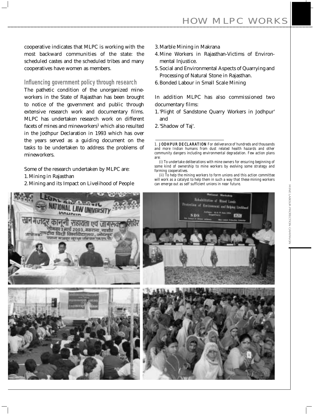HOW MLPC WORKS

cooperative indicates that MLPC is working with the most backward communities of the state: the scheduled castes and the scheduled tribes and many cooperatives have women as members.

### **Influencing government policy through research**

The pathetic condition of the unorganized mineworkers in the State of Rajasthan has been brought to notice of the government and public through extensive research work and documentary films. MLPC has undertaken research work on different facets of mines and mineworkers<sup>1</sup> which also resulted in the Jodhpur Declaration in 1993 which has over the years served as a guiding document on the tasks to be undertaken to address the problems of mineworkers.

Some of the research undertaken by MLPC are:

- 1.Mining in Rajasthan
- 2.Mining and its Impact on Livelihood of People
- 3.Marble Mining in Makrana
- 4.Mine Workers in Rajasthan-Victims of Environmental Injustice.
- 5.Social and Environmental Aspects of Quarrying and Processing of Natural Stone in Rajasthan.
- 6.Bonded Labour in Small Scale Mining

In addition MLPC has also commissioned two documentary films:

- 1.'Plight of Sandstone Quarry Workers in Jodhpur' and
- 2.'Shadow of Taj'.

1. JODHPUR DECLARATION For deliverance of hundreds and thousands and more Indian humans from dust related health hazards and other community dangers including environmental degradation. Few action plans are:

(i) To undertake deliberations with mine owners for ensuring beginning of some kind of ownership to mine workers by evolving some strategy and forming cooperatives.

(ii) To help the mining workers to form unions and this action committee will work as a catalyst to help them in such a way that these mining workers can emerge out as self sufficient unions in near future.

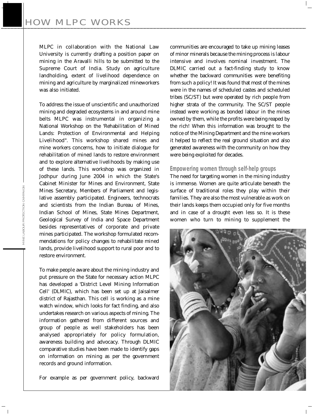MLPC in collaboration with the National Law University is currently drafting a position paper on mining in the Aravalli hills to be submitted to the Supreme Court of India. Study on agriculture landholding, extent of livelihood dependence on mining and agriculture by marginalized mineworkers was also initiated.

To address the issue of unscientific and unauthorized mining and degraded ecosystems in and around mine belts MLPC was instrumental in organizing a National Workshop on the 'Rehabilitation of Mined Lands: Protection of Environmental and Helping Livelihood". This workshop shared mines and mine workers concerns, how to initiate dialogue for rehabilitation of mined lands to restore environment and to explore alternative livelihoods by making use of these lands. This workshop was organized in Jodhpur during June 2004 in which the State's Cabinet Minister for Mines and Environment, State Mines Secretary, Members of Parliament and legislative assembly participated. Engineers, technocrats and scientists from the Indian Bureau of Mines, Indian School of Mines, State Mines Department, Geological Survey of India and Space Department besides representatives of corporate and private mines participated. The workshop formulated recommendations for policy changes to rehabilitate mined lands, provide livelihood support to rural poor and to restore environment.

To make people aware about the mining industry and put pressure on the State for necessary action MLPC has developed a 'District Level Mining Information Cell' (DLMIC), which has been set up at Jaisalmer district of Rajasthan. This cell is working as a mine watch window, which looks for fact finding, and also undertakes research on various aspects of mining. The information gathered from different sources and group of people as well stakeholders has been analysed appropriately for policy formulation, awareness building and advocacy. Through DLMIC comparative studies have been made to identify gaps on information on mining as per the government records and ground information.

For example as per government policy, backward

communities are encouraged to take up mining leases of minor minerals because the mining process is labour intensive and involves nominal investment. The DLMIC carried out a fact-finding study to know whether the backward communities were benefiting from such a policy! It was found that most of the mines were in the names of scheduled castes and scheduled tribes (SC/ST) but were operated by rich people from higher strata of the community. The SC/ST people instead were working as bonded labour in the mines owned by them, while the profits were being reaped by the rich! When this information was brought to the notice of the Mining Department and the mine workers it helped to reflect the real ground situation and also generated awareness with the community on how they were being exploited for decades.

#### **Empowering women through self-help groups**

The need for targeting women in the mining industry is immense. Women are quite articulate beneath the surface of traditional roles they play within their families. They are also the most vulnerable as work on their lands keeps them occupied only for five months and in case of a drought even less so. It is these women who turn to mining to supplement the

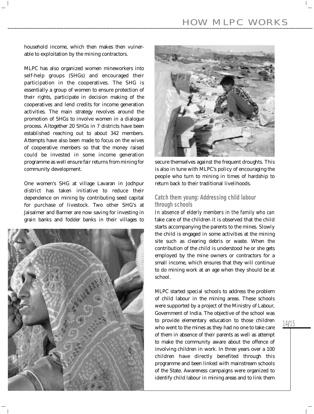### HOW MLPC WORKS

household income, which then makes then vulnerable to exploitation by the mining contractors.

MLPC has also organized women mineworkers into self-help groups (SHGs) and encouraged their participation in the cooperatives. The SHG is essentially a group of women to ensure protection of their rights, participate in decision making of the cooperatives and lend credits for income generation activities. The main strategy revolves around the promotion of SHGs to involve women in a dialogue process. Altogether 20 SHGs in 7 districts have been established reaching out to about 342 members. Attempts have also been made to focus on the wives of cooperative members so that the money raised could be invested in some income generation programme as well ensure fair returns from mining for community development.

One women's SHG at village Lavaran in Jodhpur district has taken initiative to reduce their dependence on mining by contributing seed capital for purchase of livestock. Two other SHG's at Jaisalmer and Barmer are now saving for investing in grain banks and fodder banks in their villages to





secure themselves against the frequent droughts. This is also in tune with MLPC's policy of encouraging the people who turn to mining in times of hardship to return back to their traditional livelihoods.

### **Catch them young: Addressing child labour through schools**

In absence of elderly members in the family who can take care of the children it is observed that the child starts accompanying the parents to the mines. Slowly the child is engaged in some activities at the mining site such as clearing debris or waste. When the contribution of the child is understood he or she gets employed by the mine owners or contractors for a small income, which ensures that they will continue to do mining work at an age when they should be at school.

MLPC started special schools to address the problem of child labour in the mining areas. These schools were supported by a project of the Ministry of Labour, Government of India. The objective of the school was to provide elementary education to those children who went to the mines as they had no one to take care of them in absence of their parents as well as attempt to make the community aware about the offence of involving children in work. In three years over a 100 children have directly benefited through this programme and been linked with mainstream schools of the State. Awareness campaigns were organized to identify child labour in mining areas and to link them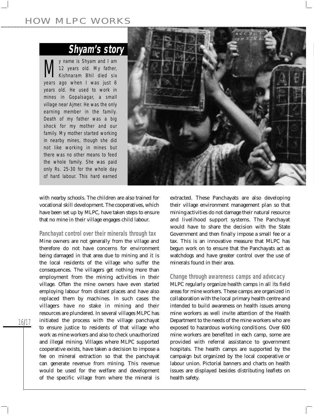### HOW MLPC WORKS

### **Shyam's story**

*My name is Shyam and I am Kishnaram Bhil died six 12 years old. My father, years ago when I was just 6 years old. He used to work in mines in Gopalsagar, a small village near Ajmer. He was the only earning member in the family. Death of my father was a big shock for my mother and our family. My mother started working in nearby mines, though she did not like working in mines but there was no other means to feed the whole family. She was paid only Rs. 25-30 for the whole day of hard labour. This hard earned*



with nearby schools. The children are also trained for vocational skill development. The cooperatives, which have been set up by MLPC, have taken steps to ensure that no mine in their village engages child labour.

**Panchayat control over their minerals through tax**

Mine owners are not generally from the village and therefore do not have concerns for environment being damaged in that area due to mining and it is the local residents of the village who suffer the consequences. The villagers get nothing more than employment from the mining activities in their village. Often the mine owners have even started employing labour from distant places and have also replaced them by machines. In such cases the villagers have no stake in mining and their resources are plundered. In several villages MLPC has initiated the process with the village panchayat to ensure justice to residents of that village who work as mine workers and also to check unauthorized and illegal mining. Villages where MLPC supported cooperative exists, have taken a decision to impose a fee on mineral extraction so that the panchayat can generate revenue from mining. This revenue would be used for the welfare and development of the specific village from where the mineral is

extracted. These Panchayats are also developing their village environment management plan so that mining activities do not damage their natural resource and livelihood support systems. The Panchayat would have to share the decision with the State Government and then finally impose a small fee or a tax. This is an innovative measure that MLPC has begun work on to ensure that the Panchayats act as watchdogs and have greater control over the use of minerals found in their area.

#### **Change through awareness camps and advocacy**

MLPC regularly organize health camps in all its field areas for mine workers. These camps are organized in collaboration with the local primary health centre and intended to build awareness on health issues among mine workers as well invite attention of the Health Department to the needs of the mine workers who are exposed to hazardous working conditions. Over 600 mine workers are benefited in each camp, some are provided with referral assistance to government hospitals. The health camps are supported by the campaign but organized by the local cooperative or labour union. Pictorial banners and charts on health issues are displayed besides distributing leaflets on health safety.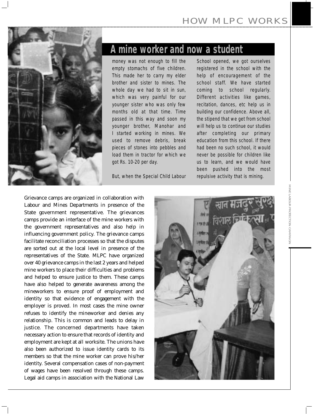

### **A mine worker and now a student**

*money was not enough to fill the empty stomachs of five children. This made her to carry my elder brother and sister to mines. The whole day we had to sit in sun, which was very painful for our younger sister who was only few months old at that time. Time passed in this way and soon my younger brother, Manohar and I started working in mines. We used to remove debris, break pieces of stones into pebbles and load them in tractor for which we got Rs. 10-20 per day.* 

*But, when the Special Child Labour*

*School opened, we got ourselves registered in the school with the help of encouragement of the school staff. We have started coming to school regularly. Different activities like games, recitation, dances, etc help us in building our confidence. Above all, the stipend that we get from school will help us to continue our studies after completing our primary education from this school. If there had been no such school, it would never be possible for children like us to learn, and we would have been pushed into the most repulsive activity that is mining.*

Grievance camps are organized in collaboration with Labour and Mines Departments in presence of the State government representative. The grievances camps provide an interface of the mine workers with the government representatives and also help in influencing government policy. The grievance camps facilitate reconciliation processes so that the disputes are sorted out at the local level in presence of the representatives of the State. MLPC have organized over 40 grievance camps in the last 2 years and helped mine workers to place their difficulties and problems and helped to ensure justice to them. These camps have also helped to generate awareness among the mineworkers to ensure proof of employment and identity so that evidence of engagement with the employer is proved. In most cases the mine owner refuses to identify the mineworker and denies any relationship. This is common and leads to delay in justice. The concerned departments have taken necessary action to ensure that records of identity and employment are kept at all worksite. The unions have also been authorized to issue identity cards to its members so that the mine worker can prove his/her identity. Several compensation cases of non-payment of wages have been resolved through these camps. Legal aid camps in association with the National Law

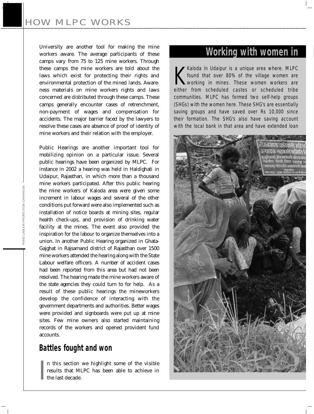University are another tool for making the mine workers aware. The average participants of these camps vary from 75 to 125 mine workers. Through these camps the mine workers are told about the laws which exist for protecting their rights and environmental protection of the mined lands. Awareness materials on mine workers rights and laws concerned are distributed through these camps. These camps generally encounter cases of retrenchment, non-payment of wages and compensation for accidents. The major barrier faced by the lawyers to resolve these cases are absence of proof of identity of mine workers and their relation with the employer.

Public Hearings are another important tool for mobilizing opinion on a particular issue. Several public hearings have been organized by MLPC. For instance in 2002 a hearing was held in Haldighati in Udaipur, Rajasthan, in which more than a thousand mine workers participated. After this public hearing the mine workers of Kaloda area were given some increment in labour wages and several of the other conditions put forward were also implemented such as installation of notice boards at mining sites, regular health check-ups, and provision of drinking water facility at the mines. The event also provided the inspiration for the labour to organize themselves into a union. In another Public Hearing organized in Ghata-Gajghat in Rajsamand district of Rajasthan over 1500 mine workers attended the hearing along with the State Labour welfare officers. A number of accident cases had been reported from this area but had not been resolved. The hearing made the mine workers aware of the state agencies they could turn to for help. As a result of these public hearings the mineworkers develop the confidence of interacting with the government departments and authorities. Better wages were provided and signboards were put up at mine sites. Few mine owners also started maintaining records of the workers and opened provident fund accounts.

### **Battles fought and won**

I n this section we highlight some of the visible results that MLPC has been able to achieve in the last decade.

### **Working with women in**

*Kaloda in Udaipur is a unique area where. MLPC*<br>*found that over 80% of the village women are*<br>*either from scheduled castes or scheduled tribe Kaloda in Udaipur is a unique area where. MLPC found that over 80% of the village women are working in mines. These women workers are communities. MLPC has formed two self-help groups (SHGs) with the women here. These SHG's are essentially saving groups and have saved over Rs 10,000 since their formation. The SHG's also have saving account with the local bank in that area and have extended loan*

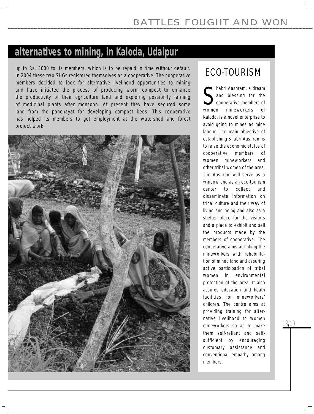### **alternatives to mining, in Kaloda, Udaipur**

*up to Rs. 3000 to its members, which is to be repaid in time without default. In 2004 these two SHGs registered themselves as a cooperative. The cooperative members decided to look for alternative livelihood opportunities to mining and have initiated the process of producing worm compost to enhance the productivity of their agriculture land and exploring possibility farming of medicinal plants after monsoon. At present they have secured some*  land from the panchayat for developing compost beds. This cooperative has helped its members to get employment at the watershed and forest *project work.*



### *ECO-TOURISM*

women *habri Aashram, a dream and blessing for the cooperative members of women mineworkers of Kaloda, is a novel enterprise to avoid going to mines as mine labour. The main objective of establishing Shabri Aashram is to raise the economic status of cooperative members of women mineworkers and other tribal women of the area. The Aashram will serve as a window and as an eco-tourism center to collect and disseminate information on tribal culture and their way of living and being and also as a shelter place for the visitors and a place to exhibit and sell the products made by the members of cooperative. The cooperative aims at linking the mineworkers with rehabilitation of mined land and assuring active participation of tribal women in environmental protection of the area. It also assures education and heath facilities for mineworkers' children. The centre aims at providing training for alternative livelihood to women mineworkers so as to make them self-reliant and selfsufficient by encouraging customary assistance and conventional empathy among members.*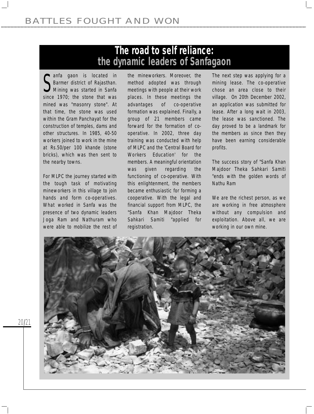### **The road to self reliance: the dynamic leaders of Sanfagaon**

**S** *Barmer district of Rajasthan.*<br> *Since 1970; the stone that was anfa gaon is located in Barmer district of Rajasthan. Mining was started in Sanfa mined was "masonry stone". At that time, the stone was used within the Gram Panchayat for the construction of temples, dams and other structures. In 1985, 40-50 workers joined to work in the mine at Rs.50/per 100 khande (stone bricks), which was then sent to the nearby towns.*

*For MLPC the journey started with the tough task of motivating mineworkers in this village to join hands and form co-operatives. What worked in Sanfa was the presence of two dynamic leaders Joga Ram and Nathuram who were able to mobilize the rest of*

*the mineworkers. Moreover, the method adopted was through meetings with people at their work places. In these meetings the advantages of co-operative formation was explained. Finally, a group of 21 members came forward for the formation of cooperative. In 2002, three day training was conducted with help of MLPC and the 'Central Board for Workers Education' for the members. A meaningful orientation was given regarding the functioning of co-operative. With this enlightenment, the members became enthusiastic for forming a cooperative. With the legal and financial support from MLPC, the "Sanfa Khan Majdoor Theka Sahkari Samiti "applied for registration.*

*The next step was applying for a mining lease. The co-operative chose an area close to their village. On 20th December 2002, an application was submitted for lease. After a long wait in 2003, the lease was sanctioned. The day proved to be a landmark for the members as since then they have been earning considerable profits.*

*The success story of "Sanfa Khan Majdoor Theka Sahkari Samiti "ends with the golden words of Nathu Ram*

*We are the richest person, as we are working in free atmosphere without any compulsion and exploitation. Above all, we are working in our own mine.*

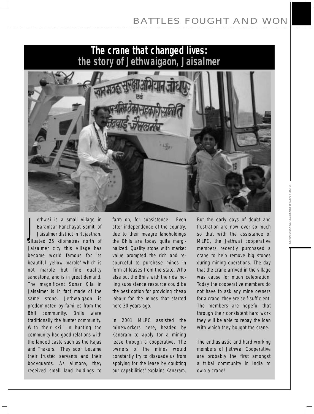

*J ethwai is a small village in Baramsar Panchayat Samiti of Jaisalmer district in Rajasthan. Situated 25 kilometres north of Jaisalmer city this village has become world famous for its beautiful 'yellow marble' which is not marble but fine quality sandstone, and is in great demand. The magnificent Sonar Kila in Jaisalmer is in fact made of the same stone. Jethwaigaon is predominated by families from the Bhil community. Bhils were traditionally the hunter community. With their skill in hunting the community had good relations with the landed caste such as the Rajas and Thakurs. They soon became their trusted servants and their bodyguards. As alimony, they received small land holdings to*

*farm on, for subsistence. Even after independence of the country, due to their meagre landholdings the Bhils are today quite marginalized. Quality stone with market value prompted the rich and resourceful to purchase mines in form of leases from the state. Who else but the Bhils with their dwindling subsistence resource could be the best option for providing cheap labour for the mines that started here 30 years ago.* 

*In 2001 MLPC assisted the mineworkers here, headed by Kanaram to apply for a mining lease through a cooperative. 'The owners of the mines would constantly try to dissuade us from applying for the lease by doubting our capabilities' explains Kanaram.*

*But the early days of doubt and frustration are now over so much so that with the assistance of MLPC, the Jethwai cooperative members recently purchased a crane to help remove big stones during mining operations. The day that the crane arrived in the village was cause for much celebration. Today the cooperative members do not have to ask any mine owners for a crane, they are self-sufficient. The members are hopeful that through their consistent hard work they will be able to repay the loan with which they bought the crane.* 

*The enthusiastic and hard working members of Jethwai Cooperative are probably the first amongst a tribal community in India to own a crane!*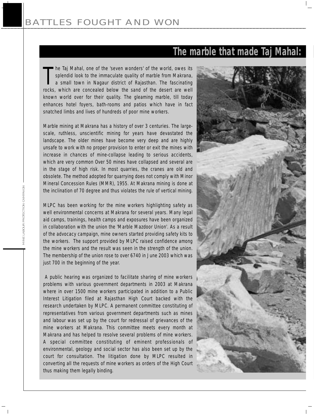### **The marble that made Taj Mahal:**

**The Taj Mahal, one of the 'seven wonders' of the world, owes its splendid look to the immaculate quality of marble from Makrana, a small town in Nagaur district of Rajasthan. The fascinating rocks, which are concealed bel** *he Taj Mahal, one of the 'seven wonders' of the world, owes its splendid look to the immaculate quality of marble from Makrana, a small town in Nagaur district of Rajasthan. The fascinating known world over for their quality. The gleaming marble, till today enhances hotel foyers, bath-rooms and patios which have in fact snatched limbs and lives of hundreds of poor mine workers.*

*Marble mining at Makrana has a history of over 3 centuries. The largescale, ruthless, unscientific mining for years have devastated the landscape. The older mines have become very deep and are highly unsafe to work with no proper provision to enter or exit the mines with increase in chances of mine-collapse leading to serious accidents, which are very common Over 50 mines have collapsed and several are in the stage of high risk. In most quarries, the cranes are old and obsolete. The method adopted for quarrying does not comply with Minor Mineral Concession Rules (MMR), 1955. At Makrana mining is done at the inclination of 70 degree and thus violates the rule of vertical mining.* 

*MLPC has been working for the mine workers highlighting safety as well environmental concerns at Makrana for several years. Many legal aid camps, trainings, health camps and exposures have been organized in collaboration with the union the 'Marble Mazdoor Union'. As a result of the advocacy campaign, mine owners started providing safety kits to the workers. The support provided by MLPC raised confidence among the mine workers and the result was seen in the strength of the union. The membership of the union rose to over 6740 in June 2003 which was just 700 in the beginning of the year.*

*A public hearing was organized to facilitate sharing of mine workers problems with various government departments in 2003 at Makrana where in over 1500 mine workers participated in addition to a Public Interest Litigation filed at Rajasthan High Court backed with the research undertaken by MLPC. A permanent committee constituting of representatives from various government departments such as mines and labour was set up by the court for redressal of grievances of the mine workers at Makrana. This committee meets every month at Makrana and has helped to resolve several problems of mine workers. A special committee constituting of eminent professionals of environmental, geology and social sector has also been set up by the court for consultation. The litigation done by MLPC resulted in converting all the requests of mine workers as orders of the High Court thus making them legally binding.* 

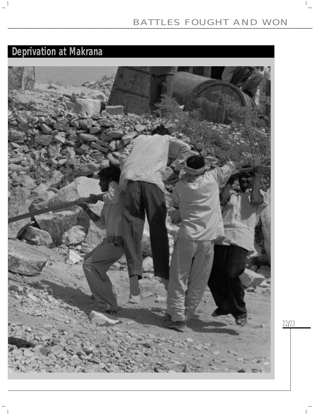22/23

 $\Gamma_{\rm c}$ 

### **Deprivation at Makrana**

 $\sim 1$ 

 $\overline{\phantom{a}}$